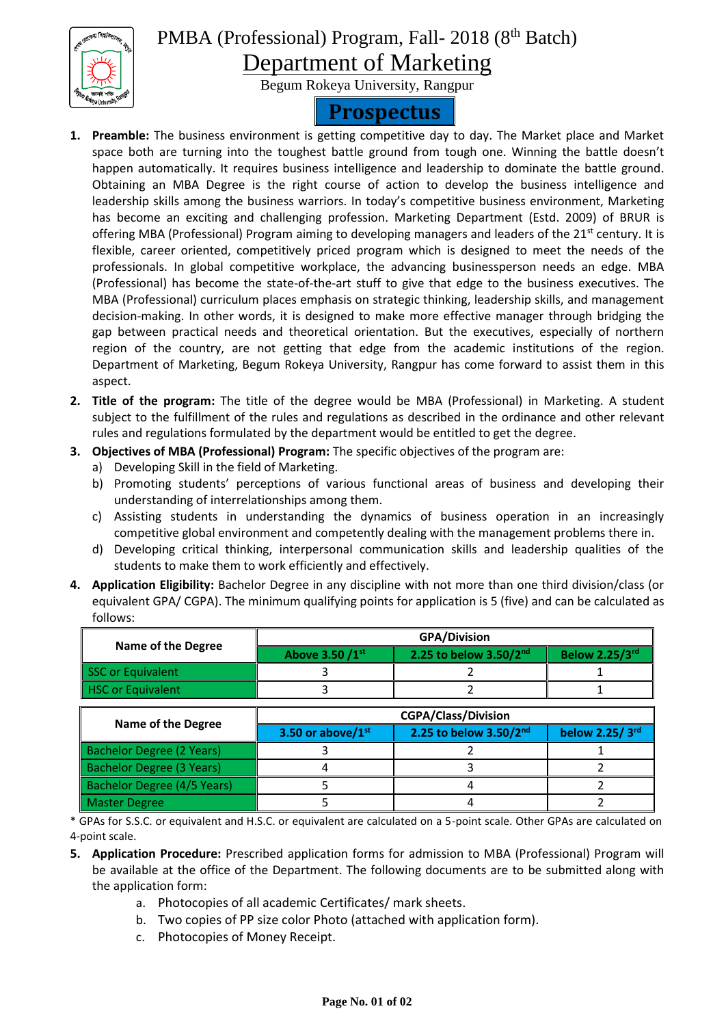

PMBA (Professional) Program, Fall- 2018 (8<sup>th</sup> Batch)

Department of Marketing

Begum Rokeya University, Rangpur

## **Prospectus**

- **1. Preamble:** The business environment is getting competitive day to day. The Market place and Market space both are turning into the toughest battle ground from tough one. Winning the battle doesn't happen automatically. It requires business intelligence and leadership to dominate the battle ground. Obtaining an MBA Degree is the right course of action to develop the business intelligence and leadership skills among the business warriors. In today's competitive business environment, Marketing has become an exciting and challenging profession. Marketing Department (Estd. 2009) of BRUR is offering MBA (Professional) Program aiming to developing managers and leaders of the  $21^{st}$  century. It is flexible, career oriented, competitively priced program which is designed to meet the needs of the professionals. In global competitive workplace, the advancing businessperson needs an edge. MBA (Professional) has become the state-of-the-art stuff to give that edge to the business executives. The MBA (Professional) curriculum places emphasis on strategic thinking, leadership skills, and management decision-making. In other words, it is designed to make more effective manager through bridging the gap between practical needs and theoretical orientation. But the executives, especially of northern region of the country, are not getting that edge from the academic institutions of the region. Department of Marketing, Begum Rokeya University, Rangpur has come forward to assist them in this aspect.
- **2. Title of the program:** The title of the degree would be MBA (Professional) in Marketing. A student subject to the fulfillment of the rules and regulations as described in the ordinance and other relevant rules and regulations formulated by the department would be entitled to get the degree.
- **3. Objectives of MBA (Professional) Program:** The specific objectives of the program are:
	- a) Developing Skill in the field of Marketing.
	- b) Promoting students' perceptions of various functional areas of business and developing their understanding of interrelationships among them.
	- c) Assisting students in understanding the dynamics of business operation in an increasingly competitive global environment and competently dealing with the management problems there in.
	- d) Developing critical thinking, interpersonal communication skills and leadership qualities of the students to make them to work efficiently and effectively.
- **4. Application Eligibility:** Bachelor Degree in any discipline with not more than one third division/class (or equivalent GPA/ CGPA). The minimum qualifying points for application is 5 (five) and can be calculated as follows:

|                    | <b>GPA/Division</b> |                        |                       |
|--------------------|---------------------|------------------------|-----------------------|
| Name of the Degree | Above 3.50 /1st     | 2.25 to below 3.50/2nd | <b>Below 2.25/3rd</b> |
| SSC or Equivalent  |                     |                        |                       |
| HSC or Equivalent  |                     |                        |                       |

|                             | <b>CGPA/Class/Division</b> |                             |                |
|-----------------------------|----------------------------|-----------------------------|----------------|
| <b>Name of the Degree</b>   | 3.50 or above/1st          | 2.25 to below $3.50/2^{nd}$ | below 2.25/3rd |
| Bachelor Degree (2 Years)   |                            |                             |                |
| Bachelor Degree (3 Years)   |                            |                             |                |
| Bachelor Degree (4/5 Years) |                            |                             |                |
| <b>Master Degree</b>        |                            |                             |                |

\* GPAs for S.S.C. or equivalent and H.S.C. or equivalent are calculated on a 5-point scale. Other GPAs are calculated on 4-point scale.

- **5. Application Procedure:** Prescribed application forms for admission to MBA (Professional) Program will be available at the office of the Department. The following documents are to be submitted along with the application form:
	- a. Photocopies of all academic Certificates/ mark sheets.
	- b. Two copies of PP size color Photo (attached with application form).
	- c. Photocopies of Money Receipt.